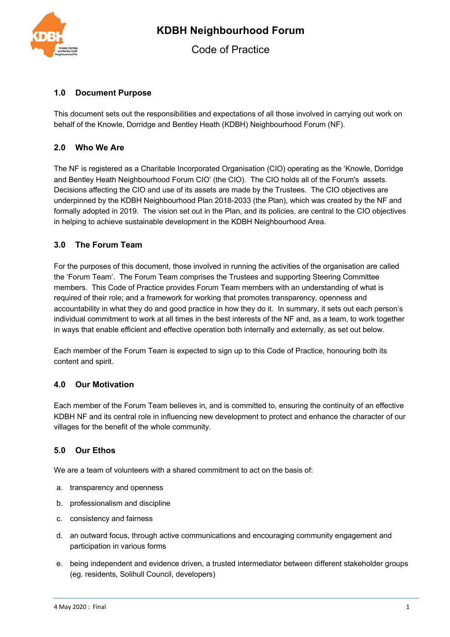

# **1.0 Document Purpose**

This document sets out the responsibilities and expectations of all those involved in carrying out work on behalf of the Knowle, Dorridge and Bentley Heath (KDBH) Neighbourhood Forum (NF).

# **2.0 Who We Are**

The NF is registered as a Charitable Incorporated Organisation (CIO) operating as the 'Knowle, Dorridge and Bentley Heath Neighbourhood Forum CIO' (the CIO). The CIO holds all of the Forum's assets. Decisions affecting the CIO and use of its assets are made by the Trustees. The CIO objectives are underpinned by the KDBH Neighbourhood Plan 2018-2033 (the Plan), which was created by the NF and formally adopted in 2019. The vision set out in the Plan, and its policies, are central to the CIO objectives in helping to achieve sustainable development in the KDBH Neighbourhood Area.

# **3.0 The Forum Team**

For the purposes of this document, those involved in running the activities of the organisation are called the 'Forum Team'. The Forum Team comprises the Trustees and supporting Steering Committee members. This Code of Practice provides Forum Team members with an understanding of what is required of their role; and a framework for working that promotes transparency, openness and accountability in what they do and good practice in how they do it. In summary, it sets out each person's individual commitment to work at all times in the best interests of the NF and, as a team, to work together in ways that enable efficient and effective operation both internally and externally, as set out below.

Each member of the Forum Team is expected to sign up to this Code of Practice, honouring both its content and spirit.

## **4.0 Our Motivation**

Each member of the Forum Team believes in, and is committed to, ensuring the continuity of an effective KDBH NF and its central role in influencing new development to protect and enhance the character of our villages for the benefit of the whole community.

## **5.0 Our Ethos**

We are a team of volunteers with a shared commitment to act on the basis of:

- a. transparency and openness
- b. professionalism and discipline
- c. consistency and fairness
- d. an outward focus, through active communications and encouraging community engagement and participation in various forms
- e. being independent and evidence driven, a trusted intermediator between different stakeholder groups (eg. residents, Solihull Council, developers)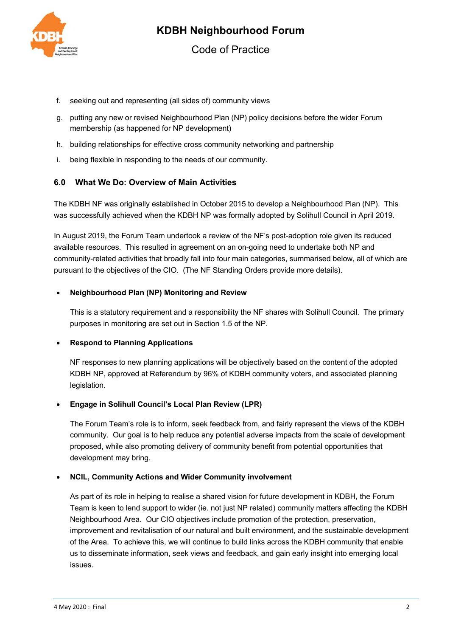

- f. seeking out and representing (all sides of) community views
- g. putting any new or revised Neighbourhood Plan (NP) policy decisions before the wider Forum membership (as happened for NP development)
- h. building relationships for effective cross community networking and partnership
- i. being flexible in responding to the needs of our community.

## **6.0 What We Do: Overview of Main Activities**

The KDBH NF was originally established in October 2015 to develop a Neighbourhood Plan (NP). This was successfully achieved when the KDBH NP was formally adopted by Solihull Council in April 2019.

In August 2019, the Forum Team undertook a review of the NF's post-adoption role given its reduced available resources. This resulted in agreement on an on-going need to undertake both NP and community-related activities that broadly fall into four main categories, summarised below, all of which are pursuant to the objectives of the CIO. (The NF Standing Orders provide more details).

#### • **Neighbourhood Plan (NP) Monitoring and Review**

This is a statutory requirement and a responsibility the NF shares with Solihull Council. The primary purposes in monitoring are set out in Section 1.5 of the NP.

#### • **Respond to Planning Applications**

NF responses to new planning applications will be objectively based on the content of the adopted KDBH NP, approved at Referendum by 96% of KDBH community voters, and associated planning legislation.

#### • **Engage in Solihull Council's Local Plan Review (LPR)**

The Forum Team's role is to inform, seek feedback from, and fairly represent the views of the KDBH community. Our goal is to help reduce any potential adverse impacts from the scale of development proposed, while also promoting delivery of community benefit from potential opportunities that development may bring.

#### • **NCIL, Community Actions and Wider Community involvement**

As part of its role in helping to realise a shared vision for future development in KDBH, the Forum Team is keen to lend support to wider (ie. not just NP related) community matters affecting the KDBH Neighbourhood Area. Our CIO objectives include promotion of the protection, preservation, improvement and revitalisation of our natural and built environment, and the sustainable development of the Area. To achieve this, we will continue to build links across the KDBH community that enable us to disseminate information, seek views and feedback, and gain early insight into emerging local issues.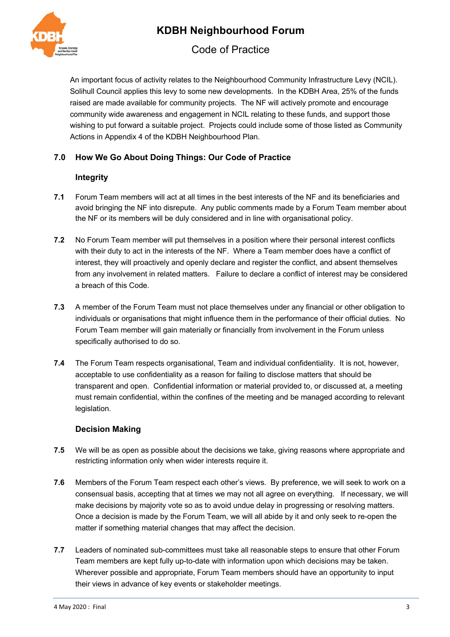

Code of Practice

An important focus of activity relates to the Neighbourhood Community Infrastructure Levy (NCIL). Solihull Council applies this levy to some new developments. In the KDBH Area, 25% of the funds raised are made available for community projects. The NF will actively promote and encourage community wide awareness and engagement in NCIL relating to these funds, and support those wishing to put forward a suitable project. Projects could include some of those listed as Community Actions in Appendix 4 of the KDBH Neighbourhood Plan.

# **7.0 How We Go About Doing Things: Our Code of Practice**

## **Integrity**

- **7.1** Forum Team members will act at all times in the best interests of the NF and its beneficiaries and avoid bringing the NF into disrepute. Any public comments made by a Forum Team member about the NF or its members will be duly considered and in line with organisational policy.
- **7.2** No Forum Team member will put themselves in a position where their personal interest conflicts with their duty to act in the interests of the NF. Where a Team member does have a conflict of interest, they will proactively and openly declare and register the conflict, and absent themselves from any involvement in related matters. Failure to declare a conflict of interest may be considered a breach of this Code.
- **7.3** A member of the Forum Team must not place themselves under any financial or other obligation to individuals or organisations that might influence them in the performance of their official duties. No Forum Team member will gain materially or financially from involvement in the Forum unless specifically authorised to do so.
- **7.4** The Forum Team respects organisational, Team and individual confidentiality. It is not, however, acceptable to use confidentiality as a reason for failing to disclose matters that should be transparent and open. Confidential information or material provided to, or discussed at, a meeting must remain confidential, within the confines of the meeting and be managed according to relevant legislation.

## **Decision Making**

- **7.5** We will be as open as possible about the decisions we take, giving reasons where appropriate and restricting information only when wider interests require it.
- **7.6** Members of the Forum Team respect each other's views. By preference, we will seek to work on a consensual basis, accepting that at times we may not all agree on everything. If necessary, we will make decisions by majority vote so as to avoid undue delay in progressing or resolving matters. Once a decision is made by the Forum Team, we will all abide by it and only seek to re-open the matter if something material changes that may affect the decision.
- **7.7** Leaders of nominated sub-committees must take all reasonable steps to ensure that other Forum Team members are kept fully up-to-date with information upon which decisions may be taken. Wherever possible and appropriate, Forum Team members should have an opportunity to input their views in advance of key events or stakeholder meetings.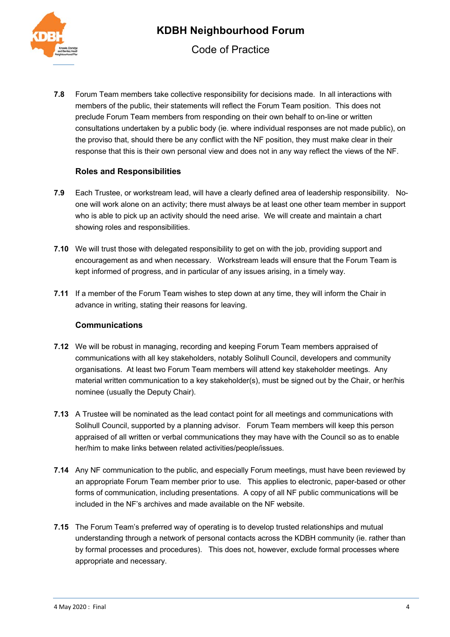

**7.8** Forum Team members take collective responsibility for decisions made. In all interactions with members of the public, their statements will reflect the Forum Team position. This does not preclude Forum Team members from responding on their own behalf to on-line or written consultations undertaken by a public body (ie. where individual responses are not made public), on the proviso that, should there be any conflict with the NF position, they must make clear in their response that this is their own personal view and does not in any way reflect the views of the NF.

## **Roles and Responsibilities**

- **7.9** Each Trustee, or workstream lead, will have a clearly defined area of leadership responsibility. Noone will work alone on an activity; there must always be at least one other team member in support who is able to pick up an activity should the need arise. We will create and maintain a chart showing roles and responsibilities.
- **7.10** We will trust those with delegated responsibility to get on with the job, providing support and encouragement as and when necessary. Workstream leads will ensure that the Forum Team is kept informed of progress, and in particular of any issues arising, in a timely way.
- **7.11** If a member of the Forum Team wishes to step down at any time, they will inform the Chair in advance in writing, stating their reasons for leaving.

#### **Communications**

- **7.12** We will be robust in managing, recording and keeping Forum Team members appraised of communications with all key stakeholders, notably Solihull Council, developers and community organisations. At least two Forum Team members will attend key stakeholder meetings. Any material written communication to a key stakeholder(s), must be signed out by the Chair, or her/his nominee (usually the Deputy Chair).
- **7.13** A Trustee will be nominated as the lead contact point for all meetings and communications with Solihull Council, supported by a planning advisor. Forum Team members will keep this person appraised of all written or verbal communications they may have with the Council so as to enable her/him to make links between related activities/people/issues.
- **7.14** Any NF communication to the public, and especially Forum meetings, must have been reviewed by an appropriate Forum Team member prior to use. This applies to electronic, paper-based or other forms of communication, including presentations. A copy of all NF public communications will be included in the NF's archives and made available on the NF website.
- **7.15** The Forum Team's preferred way of operating is to develop trusted relationships and mutual understanding through a network of personal contacts across the KDBH community (ie. rather than by formal processes and procedures). This does not, however, exclude formal processes where appropriate and necessary.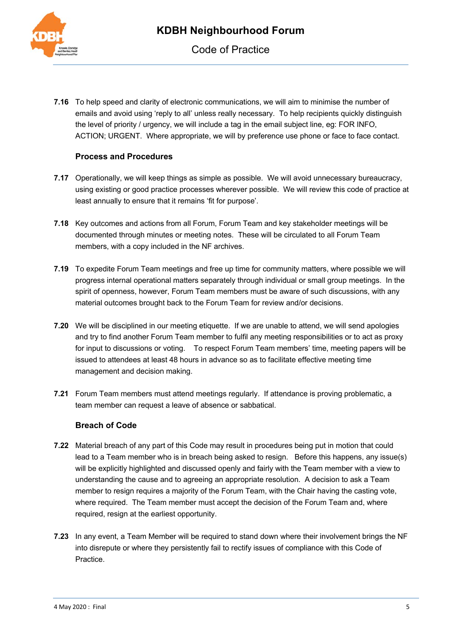

**7.16** To help speed and clarity of electronic communications, we will aim to minimise the number of emails and avoid using 'reply to all' unless really necessary. To help recipients quickly distinguish the level of priority / urgency, we will include a tag in the email subject line, eg: FOR INFO, ACTION; URGENT. Where appropriate, we will by preference use phone or face to face contact.

## **Process and Procedures**

- **7.17** Operationally, we will keep things as simple as possible. We will avoid unnecessary bureaucracy, using existing or good practice processes wherever possible. We will review this code of practice at least annually to ensure that it remains 'fit for purpose'.
- **7.18** Key outcomes and actions from all Forum, Forum Team and key stakeholder meetings will be documented through minutes or meeting notes. These will be circulated to all Forum Team members, with a copy included in the NF archives.
- **7.19** To expedite Forum Team meetings and free up time for community matters, where possible we will progress internal operational matters separately through individual or small group meetings. In the spirit of openness, however, Forum Team members must be aware of such discussions, with any material outcomes brought back to the Forum Team for review and/or decisions.
- **7.20** We will be disciplined in our meeting etiquette. If we are unable to attend, we will send apologies and try to find another Forum Team member to fulfil any meeting responsibilities or to act as proxy for input to discussions or voting. To respect Forum Team members' time, meeting papers will be issued to attendees at least 48 hours in advance so as to facilitate effective meeting time management and decision making.
- **7.21** Forum Team members must attend meetings regularly. If attendance is proving problematic, a team member can request a leave of absence or sabbatical.

#### **Breach of Code**

- **7.22** Material breach of any part of this Code may result in procedures being put in motion that could lead to a Team member who is in breach being asked to resign. Before this happens, any issue(s) will be explicitly highlighted and discussed openly and fairly with the Team member with a view to understanding the cause and to agreeing an appropriate resolution. A decision to ask a Team member to resign requires a majority of the Forum Team, with the Chair having the casting vote, where required. The Team member must accept the decision of the Forum Team and, where required, resign at the earliest opportunity.
- **7.23** In any event, a Team Member will be required to stand down where their involvement brings the NF into disrepute or where they persistently fail to rectify issues of compliance with this Code of Practice.